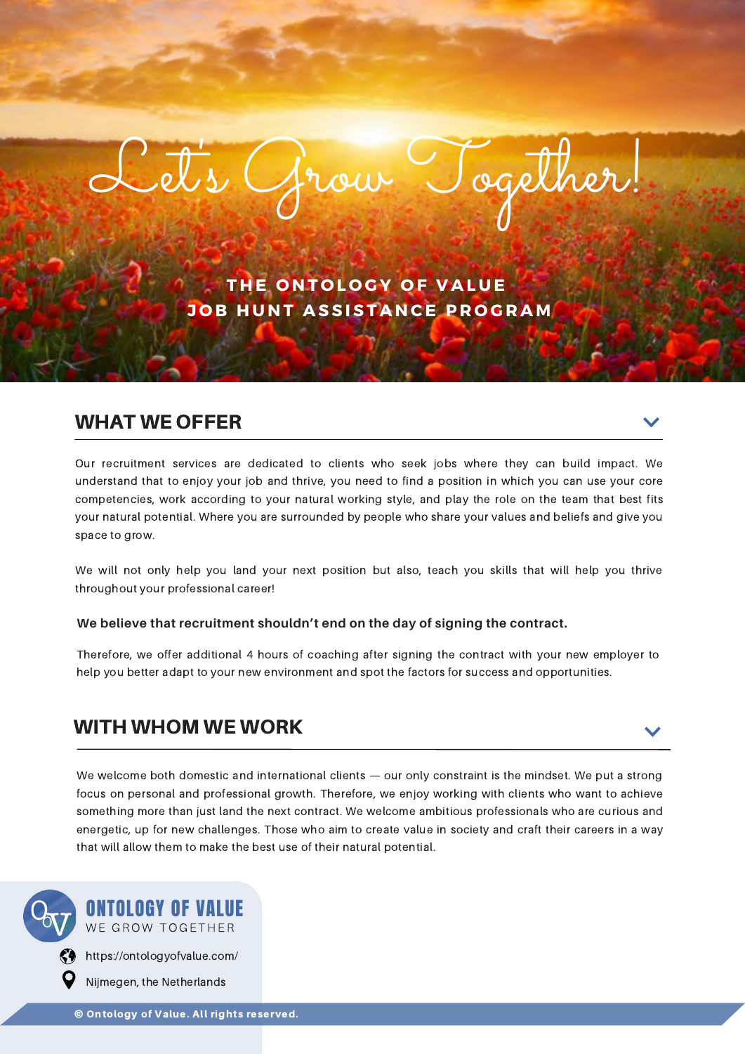**T H E O N T O L O G Y O F V A L U E J O B H U N T A S S I S T A N CE P R O G R A M**

Let's Grow Together!

## WHAT WE OFFER

Our recruitment services are dedicated to clients who seek jobs where they can build impact. We understand that to enjoy your job and thrive, you need to find a position in which you can use your core competencies, work according to your natural working style, and play the role on the team that best fits your natural potential. Where you are surrounded by people who share your values and beliefs and give you space to grow.

We will not only help you land your next position but also, teach you skills that will help you thrive throughout your professional career!

### **We believe that recruitment shouldn't end on the day of signing the contract.**

Therefore, we offer additional 4 hours of coaching after signing the contract with your new employer to help you better adapt to your new environment and spot the factors for success and opportunities.

## WITH WHOM WE WORK

We welcome both domestic and international clients — our only constraint is the mindset. We put a strong focus on personal and professional growth. Therefore, we enjoy working with clients who want to achieve something more than just land the next contract. We welcome ambitious professionals who are curious and energetic, up for new challenges. Those who aim to create value in society and craft their careers in a way that will allow them to make the best use of their natural potential.



Nijmegen, the Netherlands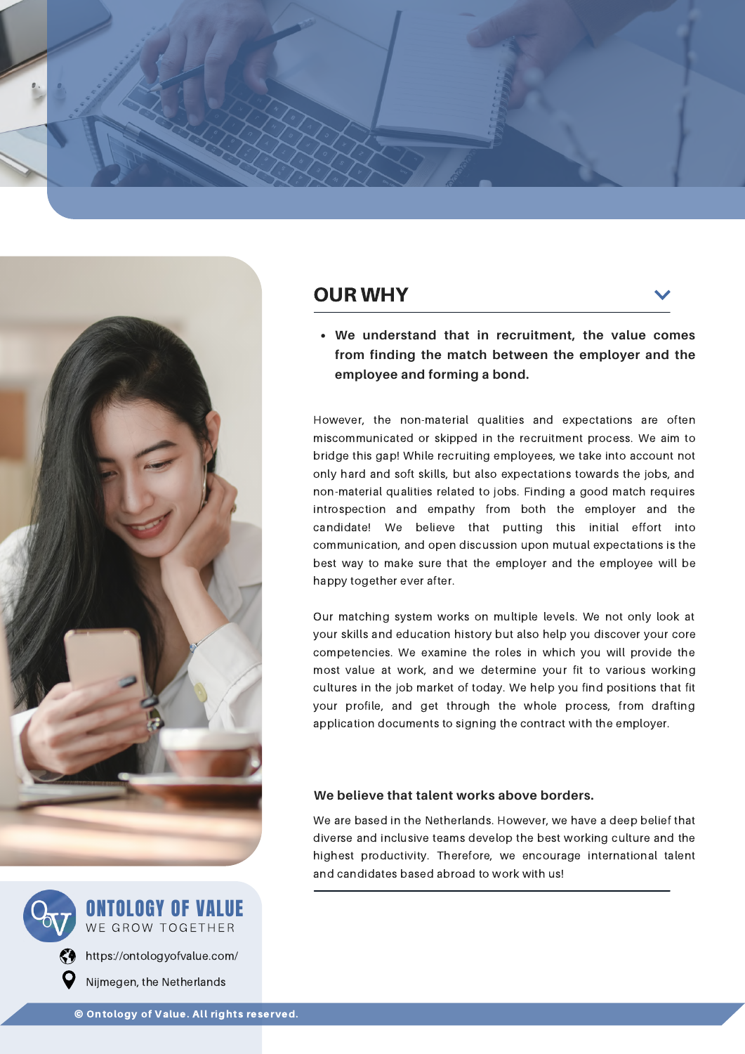





WE GROW TOGETHER ONTOLOGY OF VALUE

 $\binom{2}{1}$  [https://ontologyofvalue.com/](https://odyssey-careers.com/) Nijmegen, the Netherlands

## OUR WHY

**We understand that in recruitment, the value comes from finding the match between the employer and the employee and forming a bond.**

However, the non-material qualities and expectations are often miscommunicated or skipped in the recruitment process. We aim to bridge this gap! While recruiting employees, we take into account not only hard and soft skills, but also expectations towards the jobs, and non-material qualities related to jobs. Finding a good match requires introspection and empathy from both the employer and the candidate! We believe that putting this initial effort into communication, and open discussion upon mutual expectations is the best way to make sure that the employer and the employee will be happy together ever after.

Our matching system works on multiple levels. We not only look at your skills and education history but also help you discover your core competencies. We examine the roles in which you will provide the most value at work, and we determine your fit to various working cultures in the job market of today. We help you find positions that fit your profile, and get through the whole process, from drafting application documents to signing the contract with the employer.

### **We believe that talent works above borders.**

We are based in the Netherlands. However, we have a deep belief that diverse and inclusive teams develop the best working culture and the highest productivity. Therefore, we encourage international talent and candidates based abroad to work with us!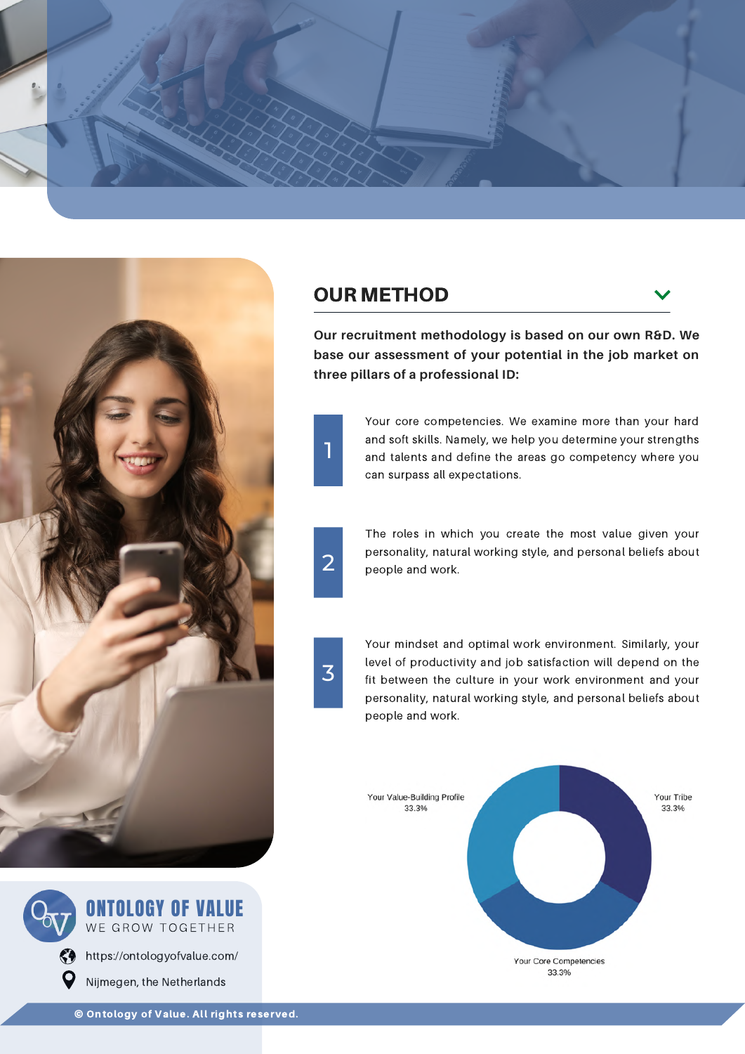



# WE GROW TOGETHER ONTOLOGY OF VALUE

[https://ontologyofvalue.com/](https://odyssey-careers.com/) Nijmegen, the Netherlands

## OUR METHOD

**Our recruitment methodology is based on our own R&D. We base our assessment of your potential in the job market on three pillars of a professional ID:**

> Your core competencies. We examine more than your hard and soft skills. Namely, we help you determine your strengths and talents and define the areas go competency where you can surpass all expectations.



1

The roles in which you create the most value given your personality, natural working style, and personal beliefs about people and work.

3

Your mindset and optimal work environment. Similarly, your level of productivity and job satisfaction will depend on the fit between the culture in your work environment and your personality, natural working style, and personal beliefs about people and work.